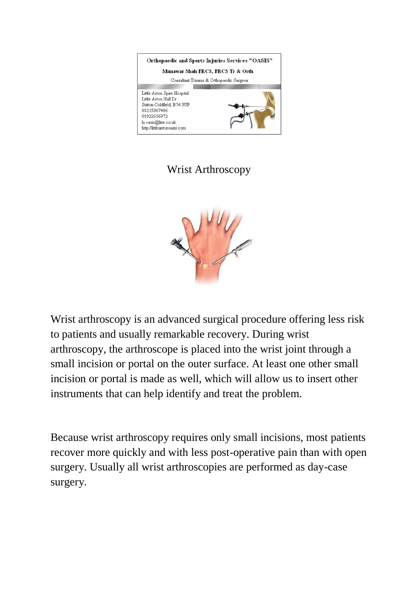

## Wrist Arthroscopy



Wrist arthroscopy is an advanced surgical procedure offering less risk to patients and usually remarkable recovery. During wrist arthroscopy, the arthroscope is placed into the wrist joint through a small incision or portal on the outer surface. At least one other small incision or portal is made as well, which will allow us to insert other instruments that can help identify and treat the problem.

Because wrist arthroscopy requires only small incisions, most patients recover more quickly and with less post-operative pain than with open surgery. Usually all wrist arthroscopies are performed as day-case surgery.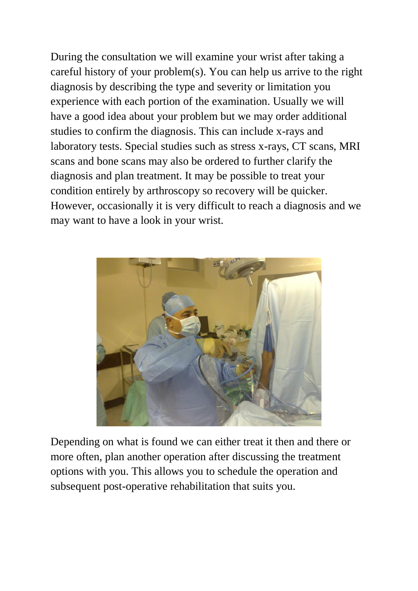During the consultation we will examine your wrist after taking a careful history of your problem(s). You can help us arrive to the right diagnosis by describing the type and severity or limitation you experience with each portion of the examination. Usually we will have a good idea about your problem but we may order additional studies to confirm the diagnosis. This can include x-rays and laboratory tests. Special studies such as stress x-rays, CT scans, MRI scans and bone scans may also be ordered to further clarify the diagnosis and plan treatment. It may be possible to treat your condition entirely by arthroscopy so recovery will be quicker. However, occasionally it is very difficult to reach a diagnosis and we may want to have a look in your wrist.



Depending on what is found we can either treat it then and there or more often, plan another operation after discussing the treatment options with you. This allows you to schedule the operation and subsequent post-operative rehabilitation that suits you.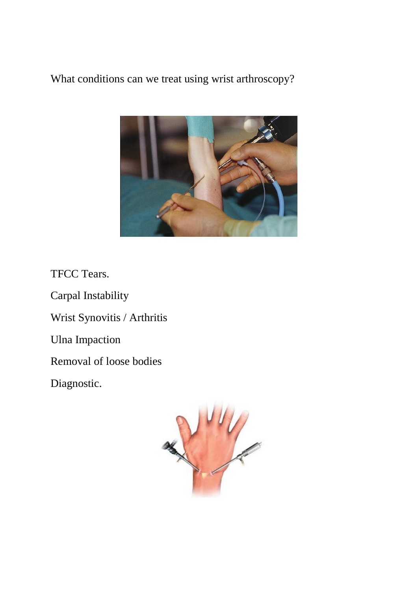What conditions can we treat using wrist arthroscopy?



TFCC Tears.

Carpal Instability

Wrist Synovitis / Arthritis

Ulna Impaction

Removal of loose bodies

Diagnostic.

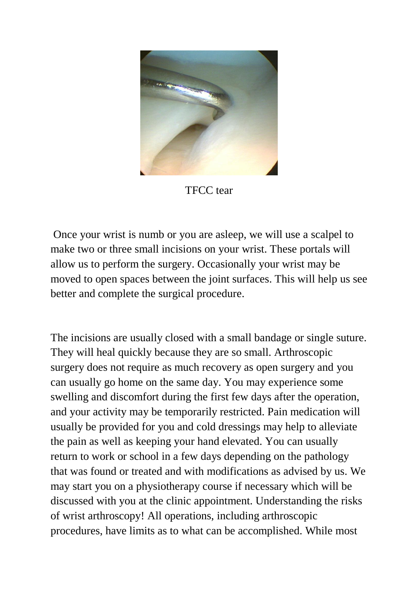

TFCC tear

Once your wrist is numb or you are asleep, we will use a scalpel to make two or three small incisions on your wrist. These portals will allow us to perform the surgery. Occasionally your wrist may be moved to open spaces between the joint surfaces. This will help us see better and complete the surgical procedure.

The incisions are usually closed with a small bandage or single suture. They will heal quickly because they are so small. Arthroscopic surgery does not require as much recovery as open surgery and you can usually go home on the same day. You may experience some swelling and discomfort during the first few days after the operation, and your activity may be temporarily restricted. Pain medication will usually be provided for you and cold dressings may help to alleviate the pain as well as keeping your hand elevated. You can usually return to work or school in a few days depending on the pathology that was found or treated and with modifications as advised by us. We may start you on a physiotherapy course if necessary which will be discussed with you at the clinic appointment. Understanding the risks of wrist arthroscopy! All operations, including arthroscopic procedures, have limits as to what can be accomplished. While most